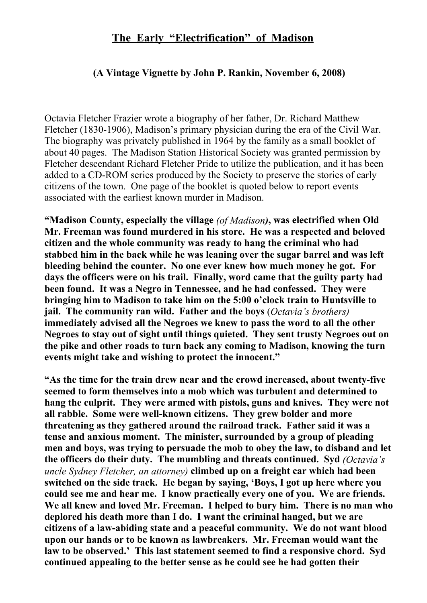## **The Early "Electrification" of Madison**

## **(A Vintage Vignette by John P. Rankin, November 6, 2008)**

Octavia Fletcher Frazier wrote a biography of her father, Dr. Richard Matthew Fletcher (1830-1906), Madison's primary physician during the era of the Civil War. The biography was privately published in 1964 by the family as a small booklet of about 40 pages. The Madison Station Historical Society was granted permission by Fletcher descendant Richard Fletcher Pride to utilize the publication, and it has been added to a CD-ROM series produced by the Society to preserve the stories of early citizens of the town. One page of the booklet is quoted below to report events associated with the earliest known murder in Madison.

**"Madison County, especially the village** *(of Madison)***, was electrified when Old Mr. Freeman was found murdered in his store. He was a respected and beloved citizen and the whole community was ready to hang the criminal who had stabbed him in the back while he was leaning over the sugar barrel and was left bleeding behind the counter. No one ever knew how much money he got. For days the officers were on his trail. Finally, word came that the guilty party had been found. It was a Negro in Tennessee, and he had confessed. They were bringing him to Madison to take him on the 5:00 o'clock train to Huntsville to jail. The community ran wild. Father and the boys** (*Octavia's brothers)* **immediately advised all the Negroes we knew to pass the word to all the other Negroes to stay out of sight until things quieted. They sent trusty Negroes out on the pike and other roads to turn back any coming to Madison, knowing the turn events might take and wishing to protect the innocent."**

**"As the time for the train drew near and the crowd increased, about twenty-five seemed to form themselves into a mob which was turbulent and determined to hang the culprit. They were armed with pistols, guns and knives. They were not all rabble. Some were well-known citizens. They grew bolder and more threatening as they gathered around the railroad track. Father said it was a tense and anxious moment. The minister, surrounded by a group of pleading men and boys, was trying to persuade the mob to obey the law, to disband and let the officers do their duty. The mumbling and threats continued. Syd** *(Octavia's uncle Sydney Fletcher, an attorney)* **climbed up on a freight car which had been switched on the side track. He began by saying, 'Boys, I got up here where you could see me and hear me. I know practically every one of you. We are friends. We all knew and loved Mr. Freeman. I helped to bury him. There is no man who deplored his death more than I do. I want the criminal hanged, but we are citizens of a law-abiding state and a peaceful community. We do not want blood upon our hands or to be known as lawbreakers. Mr. Freeman would want the law to be observed.' This last statement seemed to find a responsive chord. Syd continued appealing to the better sense as he could see he had gotten their**